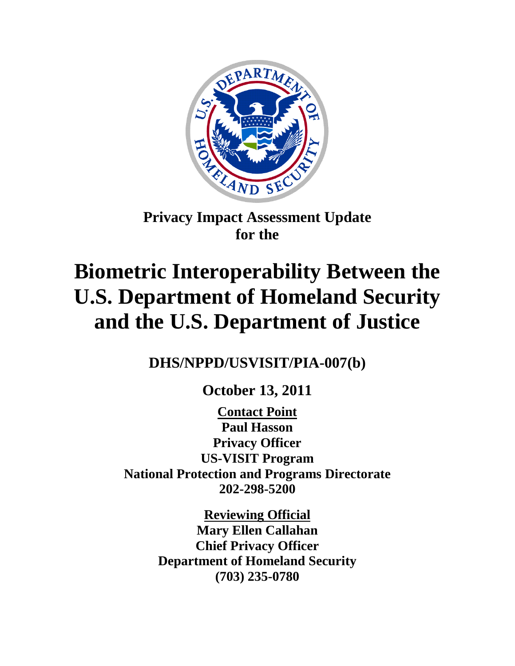

**Privacy Impact Assessment Update for the**

# **Biometric Interoperability Between the U.S. Department of Homeland Security and the U.S. Department of Justice**

**DHS/NPPD/USVISIT/PIA-007(b)**

**October 13, 2011**

**Contact Point Privacy Officer US-VISIT Program Paul Hasson National Protection and Programs Directorate 202-298-5200**

> **Reviewing Official Mary Ellen Callahan Chief Privacy Officer Department of Homeland Security (703) 235-0780**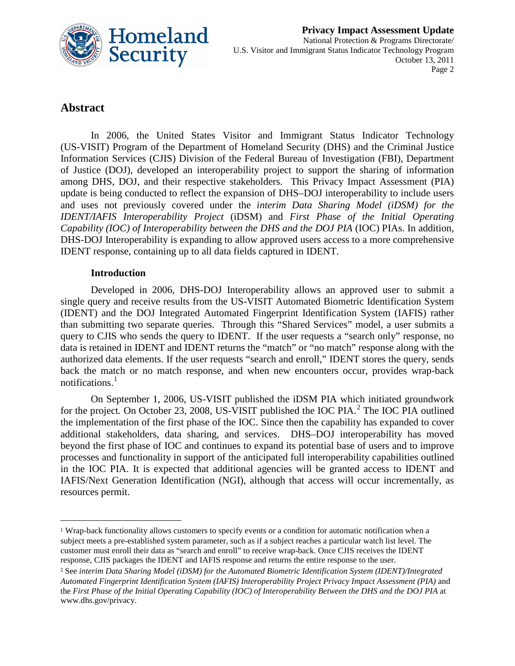

# **Abstract**

 $\overline{a}$ 

In 2006, the United States Visitor and Immigrant Status Indicator Technology (US-VISIT) Program of the Department of Homeland Security (DHS) and the Criminal Justice Information Services (CJIS) Division of the Federal Bureau of Investigation (FBI), Department of Justice (DOJ), developed an interoperability project to support the sharing of information among DHS, DOJ, and their respective stakeholders. This Privacy Impact Assessment (PIA) update is being conducted to reflect the expansion of DHS–DOJ interoperability to include users and uses not previously covered under the *interim Data Sharing Model (iDSM) for the IDENT/IAFIS Interoperability Project* (iDSM) and *First Phase of the Initial Operating Capability (IOC) of Interoperability between the DHS and the DOJ PIA* (IOC) PIAs. In addition, DHS-DOJ Interoperability is expanding to allow approved users access to a more comprehensive IDENT response, containing up to all data fields captured in IDENT.

#### **Introduction**

Developed in 2006, DHS-DOJ Interoperability allows an approved user to submit a single query and receive results from the US-VISIT Automated Biometric Identification System (IDENT) and the DOJ Integrated Automated Fingerprint Identification System (IAFIS) rather than submitting two separate queries. Through this "Shared Services" model, a user submits a query to CJIS who sends the query to IDENT. If the user requests a "search only" response, no data is retained in IDENT and IDENT returns the "match" or "no match" response along with the authorized data elements. If the user requests "search and enroll," IDENT stores the query, sends back the match or no match response, and when new encounters occur, provides wrap-back notifications.<sup>[1](#page-1-0)</sup>

On September 1, 2006, US-VISIT published the iDSM PIA which initiated groundwork for the project. On October [2](#page-1-1)3, 2008, US-VISIT published the IOC PIA.<sup>2</sup> The IOC PIA outlined the implementation of the first phase of the IOC. Since then the capability has expanded to cover additional stakeholders, data sharing, and services. DHS–DOJ interoperability has moved beyond the first phase of IOC and continues to expand its potential base of users and to improve processes and functionality in support of the anticipated full interoperability capabilities outlined in the IOC PIA. It is expected that additional agencies will be granted access to IDENT and IAFIS/Next Generation Identification (NGI), although that access will occur incrementally, as resources permit.

<span id="page-1-0"></span><sup>1</sup> Wrap-back functionality allows customers to specify events or a condition for automatic notification when a subject meets a pre-established system parameter, such as if a subject reaches a particular watch list level. The customer must enroll their data as "search and enroll" to receive wrap-back. Once CJIS receives the IDENT response, CJIS packages the IDENT and IAFIS response and returns the entire response to the user.

<span id="page-1-1"></span><sup>2</sup> See *interim Data Sharing Model (iDSM) for the Automated Biometric Identification System (IDENT)/Integrated Automated Fingerprint Identification System (IAFIS) Interoperability Project Privacy Impact Assessment (PIA)* and the *First Phase of the Initial Operating Capability (IOC) of Interoperability Between the DHS and the DOJ PIA* at www.dhs.gov/privacy.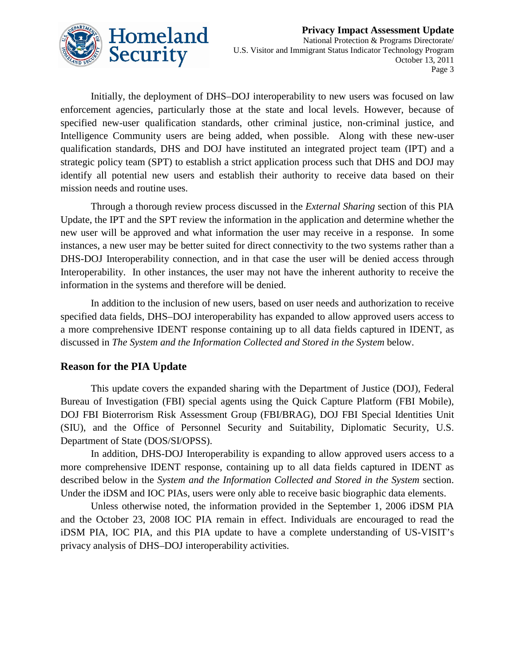

Initially, the deployment of DHS–DOJ interoperability to new users was focused on law enforcement agencies, particularly those at the state and local levels. However, because of specified new-user qualification standards, other criminal justice, non-criminal justice, and Intelligence Community users are being added, when possible. Along with these new-user qualification standards, DHS and DOJ have instituted an integrated project team (IPT) and a strategic policy team (SPT) to establish a strict application process such that DHS and DOJ may identify all potential new users and establish their authority to receive data based on their mission needs and routine uses.

Through a thorough review process discussed in the *External Sharing* section of this PIA Update, the IPT and the SPT review the information in the application and determine whether the new user will be approved and what information the user may receive in a response. In some instances, a new user may be better suited for direct connectivity to the two systems rather than a DHS-DOJ Interoperability connection, and in that case the user will be denied access through Interoperability. In other instances, the user may not have the inherent authority to receive the information in the systems and therefore will be denied.

In addition to the inclusion of new users, based on user needs and authorization to receive specified data fields, DHS–DOJ interoperability has expanded to allow approved users access to a more comprehensive IDENT response containing up to all data fields captured in IDENT, as discussed in *The System and the Information Collected and Stored in the System* below.

#### **Reason for the PIA Update**

This update covers the expanded sharing with the Department of Justice (DOJ), Federal Bureau of Investigation (FBI) special agents using the Quick Capture Platform (FBI Mobile), DOJ FBI Bioterrorism Risk Assessment Group (FBI/BRAG), DOJ FBI Special Identities Unit (SIU), and the Office of Personnel Security and Suitability, Diplomatic Security, U.S. Department of State (DOS/SI/OPSS).

In addition, DHS-DOJ Interoperability is expanding to allow approved users access to a more comprehensive IDENT response, containing up to all data fields captured in IDENT as described below in the *System and the Information Collected and Stored in the System* section. Under the iDSM and IOC PIAs, users were only able to receive basic biographic data elements.

Unless otherwise noted, the information provided in the September 1, 2006 iDSM PIA and the October 23, 2008 IOC PIA remain in effect. Individuals are encouraged to read the iDSM PIA, IOC PIA, and this PIA update to have a complete understanding of US-VISIT's privacy analysis of DHS–DOJ interoperability activities.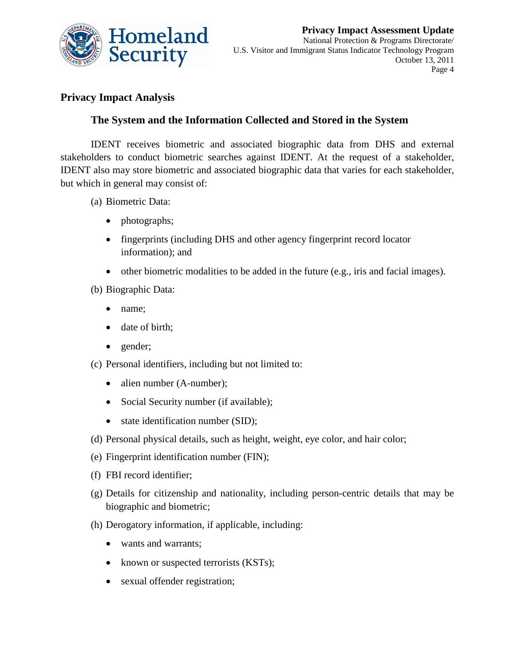

# **Privacy Impact Analysis**

# **The System and the Information Collected and Stored in the System**

IDENT receives biometric and associated biographic data from DHS and external stakeholders to conduct biometric searches against IDENT. At the request of a stakeholder, IDENT also may store biometric and associated biographic data that varies for each stakeholder, but which in general may consist of:

- (a) Biometric Data:
	- photographs;
	- fingerprints (including DHS and other agency fingerprint record locator information); and
	- other biometric modalities to be added in the future (e.g., iris and facial images).
- (b) Biographic Data:
	- name;
	- date of birth;
	- gender;
- (c) Personal identifiers, including but not limited to:
	- alien number (A-number);
	- Social Security number (if available);
	- state identification number (SID);
- (d) Personal physical details, such as height, weight, eye color, and hair color;
- (e) Fingerprint identification number (FIN);
- (f) FBI record identifier;
- (g) Details for citizenship and nationality, including person-centric details that may be biographic and biometric;
- (h) Derogatory information, if applicable, including:
	- wants and warrants:
	- known or suspected terrorists (KSTs);
	- sexual offender registration;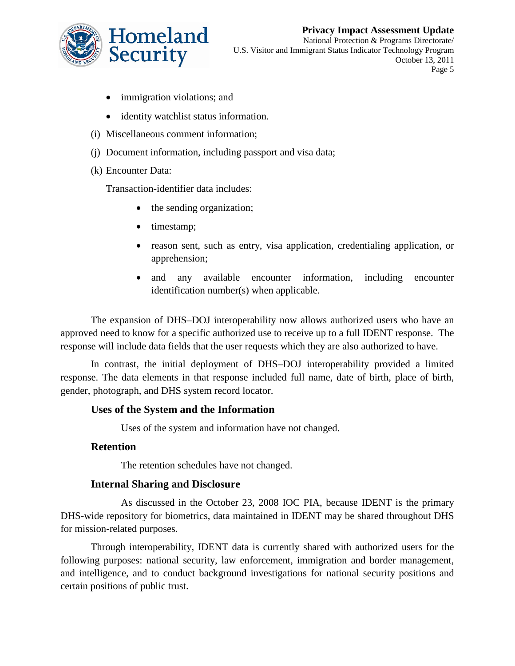

- immigration violations; and
- identity watchlist status information.
- (i) Miscellaneous comment information;
- (j) Document information, including passport and visa data;
- (k) Encounter Data:

Transaction-identifier data includes:

- the sending organization;
- timestamp;
- reason sent, such as entry, visa application, credentialing application, or apprehension;
- and any available encounter information, including encounter identification number(s) when applicable.

The expansion of DHS–DOJ interoperability now allows authorized users who have an approved need to know for a specific authorized use to receive up to a full IDENT response. The response will include data fields that the user requests which they are also authorized to have.

In contrast, the initial deployment of DHS–DOJ interoperability provided a limited response. The data elements in that response included full name, date of birth, place of birth, gender, photograph, and DHS system record locator.

## **Uses of the System and the Information**

Uses of the system and information have not changed.

#### **Retention**

The retention schedules have not changed.

## **Internal Sharing and Disclosure**

As discussed in the October 23, 2008 IOC PIA, because IDENT is the primary DHS-wide repository for biometrics, data maintained in IDENT may be shared throughout DHS for mission-related purposes.

Through interoperability, IDENT data is currently shared with authorized users for the following purposes: national security, law enforcement, immigration and border management, and intelligence, and to conduct background investigations for national security positions and certain positions of public trust.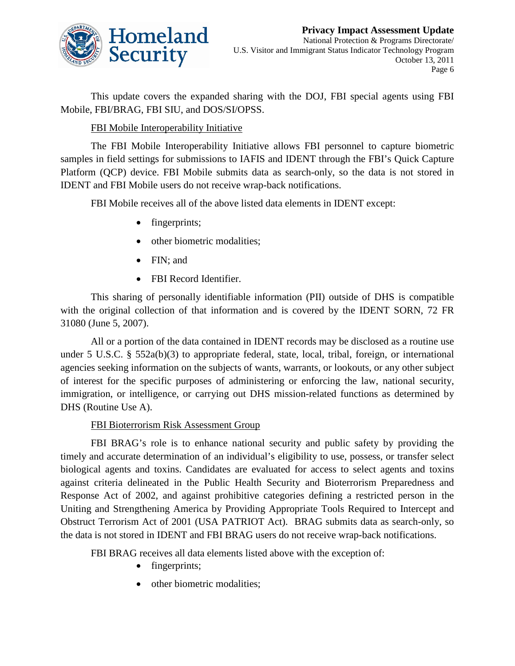

This update covers the expanded sharing with the DOJ, FBI special agents using FBI Mobile, FBI/BRAG, FBI SIU, and DOS/SI/OPSS.

#### FBI Mobile Interoperability Initiative

The FBI Mobile Interoperability Initiative allows FBI personnel to capture biometric samples in field settings for submissions to IAFIS and IDENT through the FBI's Quick Capture Platform (QCP) device. FBI Mobile submits data as search-only, so the data is not stored in IDENT and FBI Mobile users do not receive wrap-back notifications.

FBI Mobile receives all of the above listed data elements in IDENT except:

- fingerprints;
- other biometric modalities:
- FIN; and
- FBI Record Identifier.

This sharing of personally identifiable information (PII) outside of DHS is compatible with the original collection of that information and is covered by the IDENT SORN, 72 FR 31080 (June 5, 2007).

All or a portion of the data contained in IDENT records may be disclosed as a routine use under 5 U.S.C. § 552a(b)(3) to appropriate federal, state, local, tribal, foreign, or international agencies seeking information on the subjects of wants, warrants, or lookouts, or any other subject of interest for the specific purposes of administering or enforcing the law, national security, immigration, or intelligence, or carrying out DHS mission-related functions as determined by DHS (Routine Use A).

#### FBI Bioterrorism Risk Assessment Group

FBI BRAG's role is to enhance national security and public safety by providing the timely and accurate determination of an individual's eligibility to use, possess, or transfer select biological agents and toxins. Candidates are evaluated for access to select agents and toxins against criteria delineated in the Public Health Security and Bioterrorism Preparedness and Response Act of 2002, and against prohibitive categories defining a restricted person in the Uniting and Strengthening America by Providing Appropriate Tools Required to Intercept and Obstruct Terrorism Act of 2001 (USA PATRIOT Act). BRAG submits data as search-only, so the data is not stored in IDENT and FBI BRAG users do not receive wrap-back notifications.

FBI BRAG receives all data elements listed above with the exception of:

- fingerprints;
- other biometric modalities;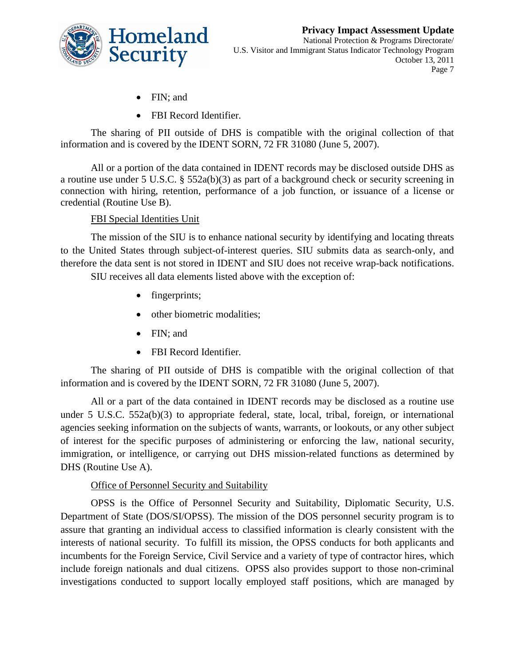

- FIN; and
- FBI Record Identifier.

The sharing of PII outside of DHS is compatible with the original collection of that information and is covered by the IDENT SORN, 72 FR 31080 (June 5, 2007).

All or a portion of the data contained in IDENT records may be disclosed outside DHS as a routine use under 5 U.S.C. § 552a(b)(3) as part of a background check or security screening in connection with hiring, retention, performance of a job function, or issuance of a license or credential (Routine Use B).

#### FBI Special Identities Unit

The mission of the SIU is to enhance national security by identifying and locating threats to the United States through subject-of-interest queries. SIU submits data as search-only, and therefore the data sent is not stored in IDENT and SIU does not receive wrap-back notifications.

SIU receives all data elements listed above with the exception of:

- fingerprints;
- other biometric modalities;
- FIN; and
- FBI Record Identifier.

The sharing of PII outside of DHS is compatible with the original collection of that information and is covered by the IDENT SORN, 72 FR 31080 (June 5, 2007).

All or a part of the data contained in IDENT records may be disclosed as a routine use under 5 U.S.C. 552a(b)(3) to appropriate federal, state, local, tribal, foreign, or international agencies seeking information on the subjects of wants, warrants, or lookouts, or any other subject of interest for the specific purposes of administering or enforcing the law, national security, immigration, or intelligence, or carrying out DHS mission-related functions as determined by DHS (Routine Use A).

#### Office of Personnel Security and Suitability

OPSS is the Office of Personnel Security and Suitability, Diplomatic Security, U.S. Department of State (DOS/SI/OPSS). The mission of the DOS personnel security program is to assure that granting an individual access to classified information is clearly consistent with the interests of national security. To fulfill its mission, the OPSS conducts for both applicants and incumbents for the Foreign Service, Civil Service and a variety of type of contractor hires, which include foreign nationals and dual citizens. OPSS also provides support to those non-criminal investigations conducted to support locally employed staff positions, which are managed by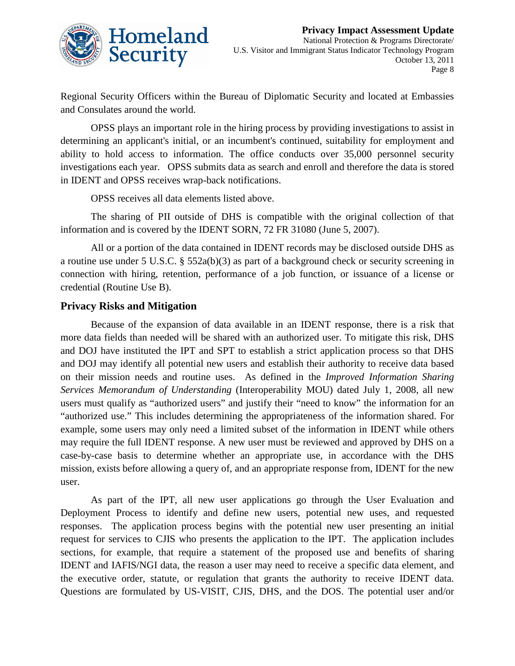

Regional Security Officers within the Bureau of Diplomatic Security and located at Embassies and Consulates around the world.

OPSS plays an important role in the hiring process by providing investigations to assist in determining an applicant's initial, or an incumbent's continued, suitability for employment and ability to hold access to information. The office conducts over 35,000 personnel security investigations each year. OPSS submits data as search and enroll and therefore the data is stored in IDENT and OPSS receives wrap-back notifications.

OPSS receives all data elements listed above.

The sharing of PII outside of DHS is compatible with the original collection of that information and is covered by the IDENT SORN, 72 FR 31080 (June 5, 2007).

All or a portion of the data contained in IDENT records may be disclosed outside DHS as a routine use under 5 U.S.C. § 552a(b)(3) as part of a background check or security screening in connection with hiring, retention, performance of a job function, or issuance of a license or credential (Routine Use B).

#### **Privacy Risks and Mitigation**

Because of the expansion of data available in an IDENT response, there is a risk that more data fields than needed will be shared with an authorized user. To mitigate this risk, DHS and DOJ have instituted the IPT and SPT to establish a strict application process so that DHS and DOJ may identify all potential new users and establish their authority to receive data based on their mission needs and routine uses. As defined in the *Improved Information Sharing Services Memorandum of Understanding* (Interoperability MOU) dated July 1, 2008, all new users must qualify as "authorized users" and justify their "need to know" the information for an "authorized use." This includes determining the appropriateness of the information shared. For example, some users may only need a limited subset of the information in IDENT while others may require the full IDENT response. A new user must be reviewed and approved by DHS on a case-by-case basis to determine whether an appropriate use, in accordance with the DHS mission, exists before allowing a query of, and an appropriate response from, IDENT for the new user.

As part of the IPT, all new user applications go through the User Evaluation and Deployment Process to identify and define new users, potential new uses, and requested responses. The application process begins with the potential new user presenting an initial request for services to CJIS who presents the application to the IPT. The application includes sections, for example, that require a statement of the proposed use and benefits of sharing IDENT and IAFIS/NGI data, the reason a user may need to receive a specific data element, and the executive order, statute, or regulation that grants the authority to receive IDENT data. Questions are formulated by US-VISIT, CJIS, DHS, and the DOS. The potential user and/or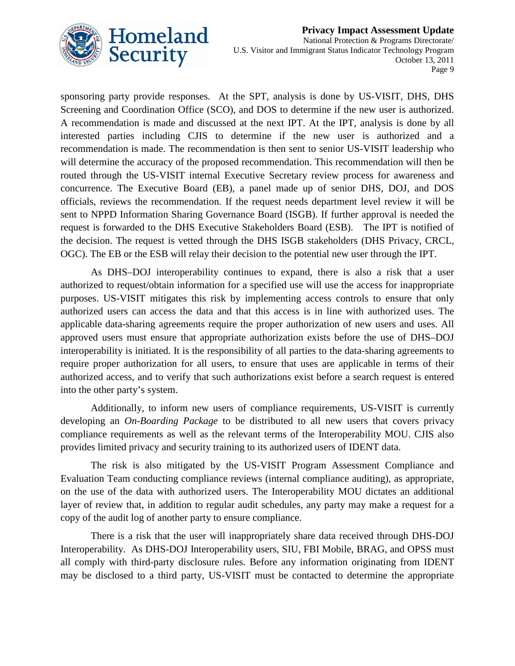

sponsoring party provide responses. At the SPT, analysis is done by US-VISIT, DHS, DHS Screening and Coordination Office (SCO), and DOS to determine if the new user is authorized. A recommendation is made and discussed at the next IPT. At the IPT, analysis is done by all interested parties including CJIS to determine if the new user is authorized and a recommendation is made. The recommendation is then sent to senior US-VISIT leadership who will determine the accuracy of the proposed recommendation. This recommendation will then be routed through the US-VISIT internal Executive Secretary review process for awareness and concurrence. The Executive Board (EB), a panel made up of senior DHS, DOJ, and DOS officials, reviews the recommendation. If the request needs department level review it will be sent to NPPD Information Sharing Governance Board (ISGB). If further approval is needed the request is forwarded to the DHS Executive Stakeholders Board (ESB). The IPT is notified of the decision. The request is vetted through the DHS ISGB stakeholders (DHS Privacy, CRCL, OGC). The EB or the ESB will relay their decision to the potential new user through the IPT.

As DHS–DOJ interoperability continues to expand, there is also a risk that a user authorized to request/obtain information for a specified use will use the access for inappropriate purposes. US-VISIT mitigates this risk by implementing access controls to ensure that only authorized users can access the data and that this access is in line with authorized uses. The applicable data-sharing agreements require the proper authorization of new users and uses. All approved users must ensure that appropriate authorization exists before the use of DHS–DOJ interoperability is initiated. It is the responsibility of all parties to the data-sharing agreements to require proper authorization for all users, to ensure that uses are applicable in terms of their authorized access, and to verify that such authorizations exist before a search request is entered into the other party's system.

Additionally, to inform new users of compliance requirements, US-VISIT is currently developing an *On-Boarding Package* to be distributed to all new users that covers privacy compliance requirements as well as the relevant terms of the Interoperability MOU. CJIS also provides limited privacy and security training to its authorized users of IDENT data.

The risk is also mitigated by the US-VISIT Program Assessment Compliance and Evaluation Team conducting compliance reviews (internal compliance auditing), as appropriate, on the use of the data with authorized users. The Interoperability MOU dictates an additional layer of review that, in addition to regular audit schedules, any party may make a request for a copy of the audit log of another party to ensure compliance.

There is a risk that the user will inappropriately share data received through DHS-DOJ Interoperability. As DHS-DOJ Interoperability users, SIU, FBI Mobile, BRAG, and OPSS must all comply with third-party disclosure rules. Before any information originating from IDENT may be disclosed to a third party, US-VISIT must be contacted to determine the appropriate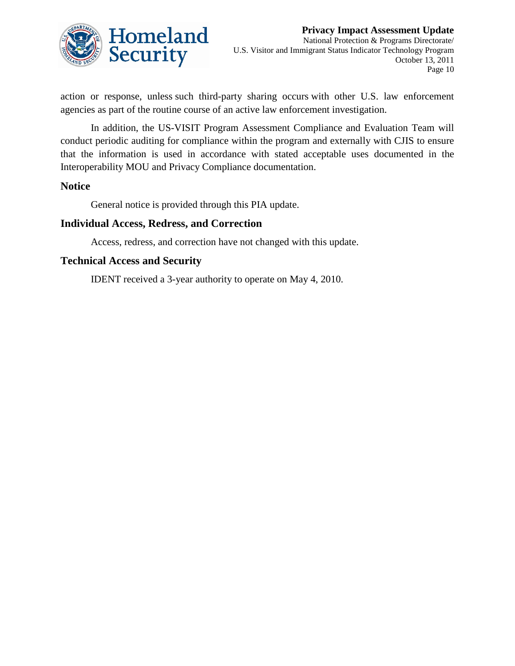

action or response, unless such third-party sharing occurs with other U.S. law enforcement agencies as part of the routine course of an active law enforcement investigation.

In addition, the US-VISIT Program Assessment Compliance and Evaluation Team will conduct periodic auditing for compliance within the program and externally with CJIS to ensure that the information is used in accordance with stated acceptable uses documented in the Interoperability MOU and Privacy Compliance documentation.

#### **Notice**

General notice is provided through this PIA update.

#### **Individual Access, Redress, and Correction**

Access, redress, and correction have not changed with this update.

#### **Technical Access and Security**

IDENT received a 3-year authority to operate on May 4, 2010.